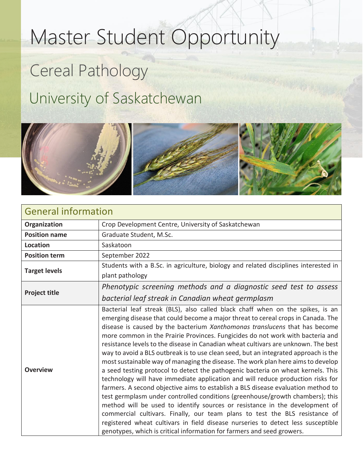## Master Student Opportunity

## Cereal Pathology University of Saskatchewan



| <b>General information</b> |                                                                                                                                                                                                                                                                                                                                                                                                                                                                                                                                                                                                                                                                                                                                                                                                                                                                                                                                                                                                                                                                                                                                                                                                                                                                             |
|----------------------------|-----------------------------------------------------------------------------------------------------------------------------------------------------------------------------------------------------------------------------------------------------------------------------------------------------------------------------------------------------------------------------------------------------------------------------------------------------------------------------------------------------------------------------------------------------------------------------------------------------------------------------------------------------------------------------------------------------------------------------------------------------------------------------------------------------------------------------------------------------------------------------------------------------------------------------------------------------------------------------------------------------------------------------------------------------------------------------------------------------------------------------------------------------------------------------------------------------------------------------------------------------------------------------|
| Organization               | Crop Development Centre, University of Saskatchewan                                                                                                                                                                                                                                                                                                                                                                                                                                                                                                                                                                                                                                                                                                                                                                                                                                                                                                                                                                                                                                                                                                                                                                                                                         |
| <b>Position name</b>       | Graduate Student, M.Sc.                                                                                                                                                                                                                                                                                                                                                                                                                                                                                                                                                                                                                                                                                                                                                                                                                                                                                                                                                                                                                                                                                                                                                                                                                                                     |
| <b>Location</b>            | Saskatoon                                                                                                                                                                                                                                                                                                                                                                                                                                                                                                                                                                                                                                                                                                                                                                                                                                                                                                                                                                                                                                                                                                                                                                                                                                                                   |
| <b>Position term</b>       | September 2022                                                                                                                                                                                                                                                                                                                                                                                                                                                                                                                                                                                                                                                                                                                                                                                                                                                                                                                                                                                                                                                                                                                                                                                                                                                              |
| <b>Target levels</b>       | Students with a B.Sc. in agriculture, biology and related disciplines interested in<br>plant pathology                                                                                                                                                                                                                                                                                                                                                                                                                                                                                                                                                                                                                                                                                                                                                                                                                                                                                                                                                                                                                                                                                                                                                                      |
| <b>Project title</b>       | Phenotypic screening methods and a diagnostic seed test to assess<br>bacterial leaf streak in Canadian wheat germplasm                                                                                                                                                                                                                                                                                                                                                                                                                                                                                                                                                                                                                                                                                                                                                                                                                                                                                                                                                                                                                                                                                                                                                      |
| <b>Overview</b>            | Bacterial leaf streak (BLS), also called black chaff when on the spikes, is an<br>emerging disease that could become a major threat to cereal crops in Canada. The<br>disease is caused by the bacterium Xanthomonas translucens that has become<br>more common in the Prairie Provinces. Fungicides do not work with bacteria and<br>resistance levels to the disease in Canadian wheat cultivars are unknown. The best<br>way to avoid a BLS outbreak is to use clean seed, but an integrated approach is the<br>most sustainable way of managing the disease. The work plan here aims to develop<br>a seed testing protocol to detect the pathogenic bacteria on wheat kernels. This<br>technology will have immediate application and will reduce production risks for<br>farmers. A second objective aims to establish a BLS disease evaluation method to<br>test germplasm under controlled conditions (greenhouse/growth chambers); this<br>method will be used to identify sources or resistance in the development of<br>commercial cultivars. Finally, our team plans to test the BLS resistance of<br>registered wheat cultivars in field disease nurseries to detect less susceptible<br>genotypes, which is critical information for farmers and seed growers. |